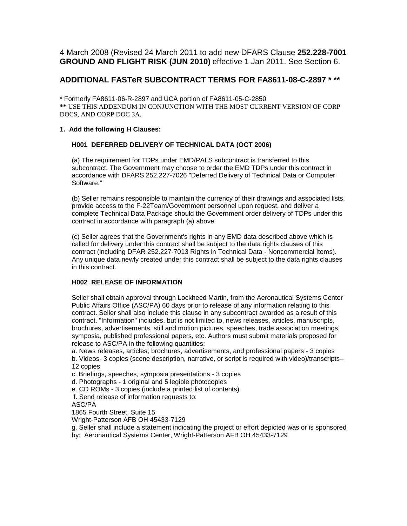4 March 2008 (Revised 24 March 2011 to add new DFARS Clause **252.228-7001 GROUND AND FLIGHT RISK (JUN 2010)** effective 1 Jan 2011. See Section 6.

# **ADDITIONAL FASTeR SUBCONTRACT TERMS FOR FA8611-08-C-2897 \* \*\***

\* Formerly FA8611-06-R-2897 and UCA portion of FA8611-05-C-2850 **\*\*** USE THIS ADDENDUM IN CONJUNCTION WITH THE MOST CURRENT VERSION OF CORP DOCS, AND CORP DOC 3A.

## **1. Add the following H Clauses:**

# **H001 DEFERRED DELIVERY OF TECHNICAL DATA (OCT 2006)**

(a) The requirement for TDPs under EMD/PALS subcontract is transferred to this subcontract. The Government may choose to order the EMD TDPs under this contract in accordance with DFARS 252.227-7026 "Deferred Delivery of Technical Data or Computer Software."

(b) Seller remains responsible to maintain the currency of their drawings and associated lists, provide access to the F-22Team/Government personnel upon request, and deliver a complete Technical Data Package should the Government order delivery of TDPs under this contract in accordance with paragraph (a) above.

(c) Seller agrees that the Government's rights in any EMD data described above which is called for delivery under this contract shall be subject to the data rights clauses of this contract (including DFAR 252.227-7013 Rights in Technical Data - Noncommercial Items). Any unique data newly created under this contract shall be subject to the data rights clauses in this contract.

# **H002 RELEASE OF INFORMATION**

Seller shall obtain approval through Lockheed Martin, from the Aeronautical Systems Center Public Affairs Office (ASC/PA) 60 days prior to release of any information relating to this contract. Seller shall also include this clause in any subcontract awarded as a result of this contract. "Information" includes, but is not limited to, news releases, articles, manuscripts, brochures, advertisements, still and motion pictures, speeches, trade association meetings, symposia, published professional papers, etc. Authors must submit materials proposed for release to ASC/PA in the following quantities:

a. News releases, articles, brochures, advertisements, and professional papers - 3 copies b. Videos- 3 copies (scene description, narrative, or script is required with video)/transcripts– 12 copies

c. Briefings, speeches, symposia presentations - 3 copies

d. Photographs - 1 original and 5 legible photocopies

e. CD ROMs - 3 copies (include a printed list of contents)

f. Send release of information requests to:

ASC/PA

1865 Fourth Street, Suite 15

Wright-Patterson AFB OH 45433-7129

g. Seller shall include a statement indicating the project or effort depicted was or is sponsored by: Aeronautical Systems Center, Wright-Patterson AFB OH 45433-7129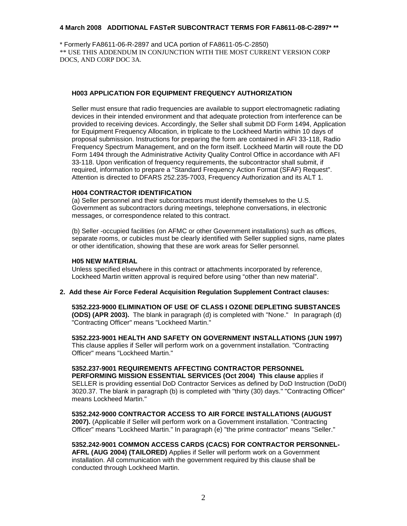\* Formerly FA8611-06-R-2897 and UCA portion of FA8611-05-C-2850) \*\* USE THIS ADDENDUM IN CONJUNCTION WITH THE MOST CURRENT VERSION CORP DOCS, AND CORP DOC 3A.

### **H003 APPLICATION FOR EQUIPMENT FREQUENCY AUTHORIZATION**

Seller must ensure that radio frequencies are available to support electromagnetic radiating devices in their intended environment and that adequate protection from interference can be provided to receiving devices. Accordingly, the Seller shall submit DD Form 1494, Application for Equipment Frequency Allocation, in triplicate to the Lockheed Martin within 10 days of proposal submission. Instructions for preparing the form are contained in AFI 33-118, Radio Frequency Spectrum Management, and on the form itself. Lockheed Martin will route the DD Form 1494 through the Administrative Activity Quality Control Office in accordance with AFI 33-118. Upon verification of frequency requirements, the subcontractor shall submit, if required, information to prepare a "Standard Frequency Action Format (SFAF) Request". Attention is directed to DFARS 252.235-7003, Frequency Authorization and its ALT 1.

### **H004 CONTRACTOR IDENTIFICATION**

(a) Seller personnel and their subcontractors must identify themselves to the U.S. Government as subcontractors during meetings, telephone conversations, in electronic messages, or correspondence related to this contract.

(b) Seller -occupied facilities (on AFMC or other Government installations) such as offices, separate rooms, or cubicles must be clearly identified with Seller supplied signs, name plates or other identification, showing that these are work areas for Seller personnel.

#### **H05 NEW MATERIAL**

Unless specified elsewhere in this contract or attachments incorporated by reference, Lockheed Martin written approval is required before using "other than new material".

### **2. Add these Air Force Federal Acquisition Regulation Supplement Contract clauses:**

**5352.223-9000 ELIMINATION OF USE OF CLASS I OZONE DEPLETING SUBSTANCES (ODS) (APR 2003).** The blank in paragraph (d) is completed with "None." In paragraph (d) "Contracting Officer" means "Lockheed Martin."

**5352.223-9001 HEALTH AND SAFETY ON GOVERNMENT INSTALLATIONS (JUN 1997)** This clause applies if Seller will perform work on a government installation. "Contracting Officer" means "Lockheed Martin."

**5352.237-9001 REQUIREMENTS AFFECTING CONTRACTOR PERSONNEL PERFORMING MISSION ESSENTIAL SERVICES (Oct 2004) This clause a**pplies if SELLER is providing essential DoD Contractor Services as defined by DoD Instruction (DoDI) 3020.37. The blank in paragraph (b) is completed with "thirty (30) days." "Contracting Officer" means Lockheed Martin."

**5352.242-9000 CONTRACTOR ACCESS TO AIR FORCE INSTALLATIONS (AUGUST 2007).** (Applicable if Seller will perform work on a Government installation. "Contracting Officer" means "Lockheed Martin." In paragraph (e) "the prime contractor" means "Seller."

**5352.242-9001 COMMON ACCESS CARDS (CACS) FOR CONTRACTOR PERSONNEL-AFRL (AUG 2004) (TAILORED)** Applies if Seller will perform work on a Government installation. All communication with the government required by this clause shall be conducted through Lockheed Martin.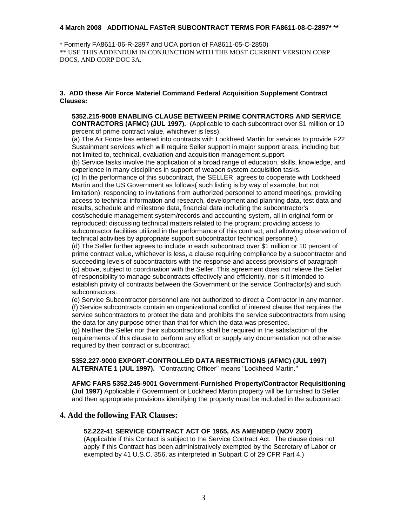\* Formerly FA8611-06-R-2897 and UCA portion of FA8611-05-C-2850) \*\* USE THIS ADDENDUM IN CONJUNCTION WITH THE MOST CURRENT VERSION CORP DOCS, AND CORP DOC 3A.

### **3. ADD these Air Force Materiel Command Federal Acquisition Supplement Contract Clauses:**

**5352.215-9008 ENABLING CLAUSE BETWEEN PRIME CONTRACTORS AND SERVICE CONTRACTORS (AFMC) (JUL 1997).** (Applicable to each subcontract over \$1 million or 10 percent of prime contract value, whichever is less).

(a) The Air Force has entered into contracts with Lockheed Martin for services to provide F22 Sustainment services which will require Seller support in major support areas, including but not limited to, technical, evaluation and acquisition management support.

(b) Service tasks involve the application of a broad range of education, skills, knowledge, and experience in many disciplines in support of weapon system acquisition tasks.

(c) In the performance of this subcontract, the SELLER agrees to cooperate with Lockheed Martin and the US Government as follows( such listing is by way of example, but not limitation): responding to invitations from authorized personnel to attend meetings; providing access to technical information and research, development and planning data, test data and results, schedule and milestone data, financial data including the subcontractor's cost/schedule management system/records and accounting system, all in original form or reproduced; discussing technical matters related to the program; providing access to subcontractor facilities utilized in the performance of this contract; and allowing observation of technical activities by appropriate support subcontractor technical personnel).

(d) The Seller further agrees to include in each subcontract over \$1 million or 10 percent of prime contract value, whichever is less, a clause requiring compliance by a subcontractor and succeeding levels of subcontractors with the response and access provisions of paragraph (c) above, subject to coordination with the Seller. This agreement does not relieve the Seller of responsibility to manage subcontracts effectively and efficiently, nor is it intended to establish privity of contracts between the Government or the service Contractor(s) and such subcontractors.

(e) Service Subcontractor personnel are not authorized to direct a Contractor in any manner. (f) Service subcontracts contain an organizational conflict of interest clause that requires the service subcontractors to protect the data and prohibits the service subcontractors from using the data for any purpose other than that for which the data was presented.

(g) Neither the Seller nor their subcontractors shall be required in the satisfaction of the requirements of this clause to perform any effort or supply any documentation not otherwise required by their contract or subcontract.

#### **5352.227-9000 EXPORT-CONTROLLED DATA RESTRICTIONS (AFMC) (JUL 1997) ALTERNATE 1 (JUL 1997).** "Contracting Officer" means "Lockheed Martin."

**AFMC FARS 5352.245-9001 Government-Furnished Property/Contractor Requisitioning (Jul 1997)** Applicable if Government or Lockheed Martin property will be furnished to Seller and then appropriate provisions identifying the property must be included in the subcontract.

# **4. Add the following FAR Clauses:**

## **52.222-41 SERVICE CONTRACT ACT OF 1965, AS AMENDED (NOV 2007)**

(Applicable if this Contact is subject to the Service Contract Act. The clause does not apply if this Contract has been administratively exempted by the Secretary of Labor or exempted by 41 U.S.C. 356, as interpreted in Subpart C of 29 CFR Part 4.)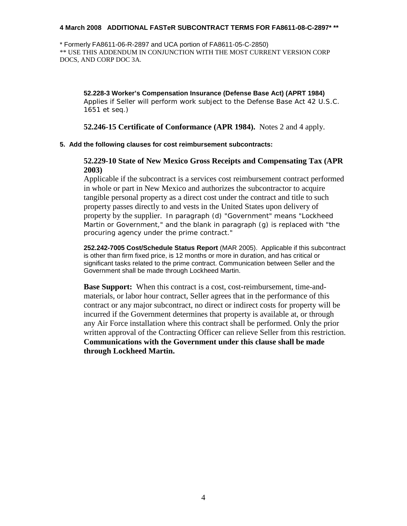\* Formerly FA8611-06-R-2897 and UCA portion of FA8611-05-C-2850) \*\* USE THIS ADDENDUM IN CONJUNCTION WITH THE MOST CURRENT VERSION CORP DOCS, AND CORP DOC 3A.

**52.228-3 Worker's Compensation Insurance (Defense Base Act) (APRT 1984)** Applies if Seller will perform work subject to the Defense Base Act 42 U.S.C. 1651 et seq.)

**52.246-15 Certificate of Conformance (APR 1984).** Notes 2 and 4 apply.

## **5. Add the following clauses for cost reimbursement subcontracts:**

# **52.229-10 State of New Mexico Gross Receipts and Compensating Tax (APR 2003)**

Applicable if the subcontract is a services cost reimbursement contract performed in whole or part in New Mexico and authorizes the subcontractor to acquire tangible personal property as a direct cost under the contract and title to such property passes directly to and vests in the United States upon delivery of property by the supplier. In paragraph (d) "Government" means "Lockheed Martin or Government," and the blank in paragraph (g) is replaced with "the procuring agency under the prime contract."

**252.242-7005 Cost/Schedule Status Report** (MAR 2005). Applicable if this subcontract is other than firm fixed price, is 12 months or more in duration, and has critical or significant tasks related to the prime contract. Communication between Seller and the Government shall be made through Lockheed Martin.

**Base Support:** When this contract is a cost, cost-reimbursement, time-andmaterials, or labor hour contract, Seller agrees that in the performance of this contract or any major subcontract, no direct or indirect costs for property will be incurred if the Government determines that property is available at, or through any Air Force installation where this contract shall be performed. Only the prior written approval of the Contracting Officer can relieve Seller from this restriction. **Communications with the Government under this clause shall be made through Lockheed Martin.**